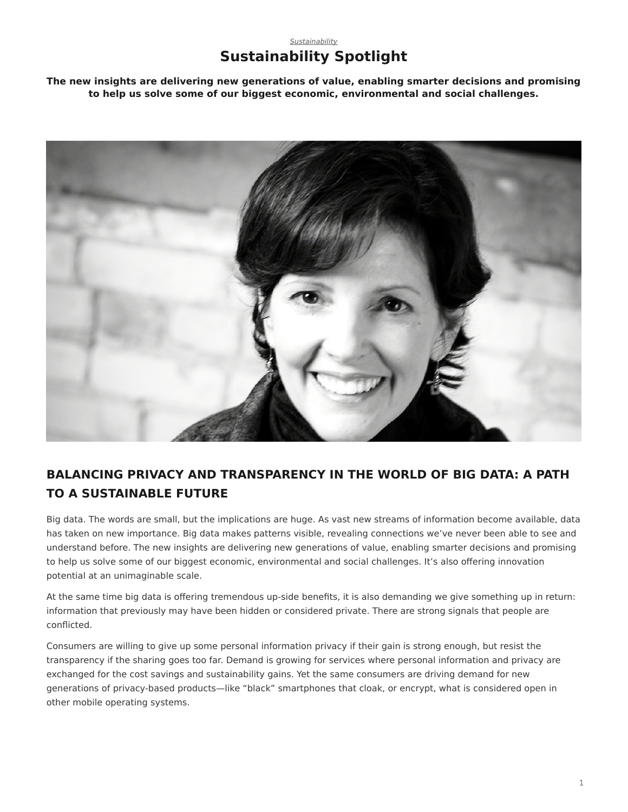## *[Sustainability](https://www.steelcase.com/asia-en/research/topics/sustainability/)*

## **Sustainability Spotlight**

**The new insights are delivering new generations of value, enabling smarter decisions and promising to help us solve some of our biggest economic, environmental and social challenges.**



## **BALANCING PRIVACY AND TRANSPARENCY IN THE WORLD OF BIG DATA: A PATH TO A SUSTAINABLE FUTURE**

Big data. The words are small, but the implications are huge. As vast new streams of information become available, data has taken on new importance. Big data makes patterns visible, revealing connections we've never been able to see and understand before. The new insights are delivering new generations of value, enabling smarter decisions and promising to help us solve some of our biggest economic, environmental and social challenges. It's also offering innovation potential at an unimaginable scale.

At the same time big data is offering tremendous up-side benefits, it is also demanding we give something up in return: information that previously may have been hidden or considered private. There are strong signals that people are conflicted.

Consumers are willing to give up some personal information privacy if their gain is strong enough, but resist the transparency if the sharing goes too far. Demand is growing for services where personal information and privacy are exchanged for the cost savings and sustainability gains. Yet the same consumers are driving demand for new generations of privacy-based products—like "black" smartphones that cloak, or encrypt, what is considered open in other mobile operating systems.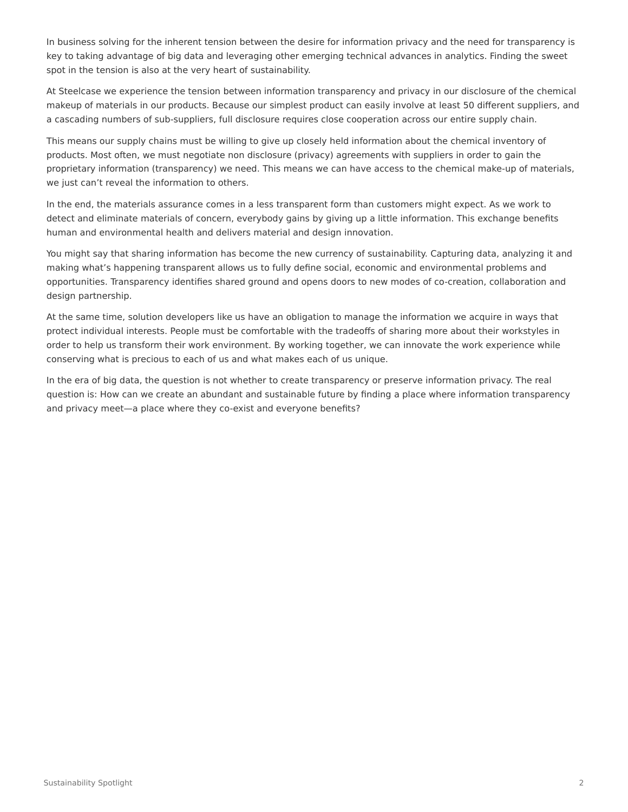In business solving for the inherent tension between the desire for information privacy and the need for transparency is key to taking advantage of big data and leveraging other emerging technical advances in analytics. Finding the sweet spot in the tension is also at the very heart of sustainability.

At Steelcase we experience the tension between information transparency and privacy in our disclosure of the chemical makeup of materials in our products. Because our simplest product can easily involve at least 50 different suppliers, and a cascading numbers of sub-suppliers, full disclosure requires close cooperation across our entire supply chain.

This means our supply chains must be willing to give up closely held information about the chemical inventory of products. Most often, we must negotiate non disclosure (privacy) agreements with suppliers in order to gain the proprietary information (transparency) we need. This means we can have access to the chemical make-up of materials, we just can't reveal the information to others.

In the end, the materials assurance comes in a less transparent form than customers might expect. As we work to detect and eliminate materials of concern, everybody gains by giving up a little information. This exchange benefits human and environmental health and delivers material and design innovation.

You might say that sharing information has become the new currency of sustainability. Capturing data, analyzing it and making what's happening transparent allows us to fully define social, economic and environmental problems and opportunities. Transparency identifies shared ground and opens doors to new modes of co-creation, collaboration and design partnership.

At the same time, solution developers like us have an obligation to manage the information we acquire in ways that protect individual interests. People must be comfortable with the tradeoffs of sharing more about their workstyles in order to help us transform their work environment. By working together, we can innovate the work experience while conserving what is precious to each of us and what makes each of us unique.

In the era of big data, the question is not whether to create transparency or preserve information privacy. The real question is: How can we create an abundant and sustainable future by finding a place where information transparency and privacy meet—a place where they co-exist and everyone benefits?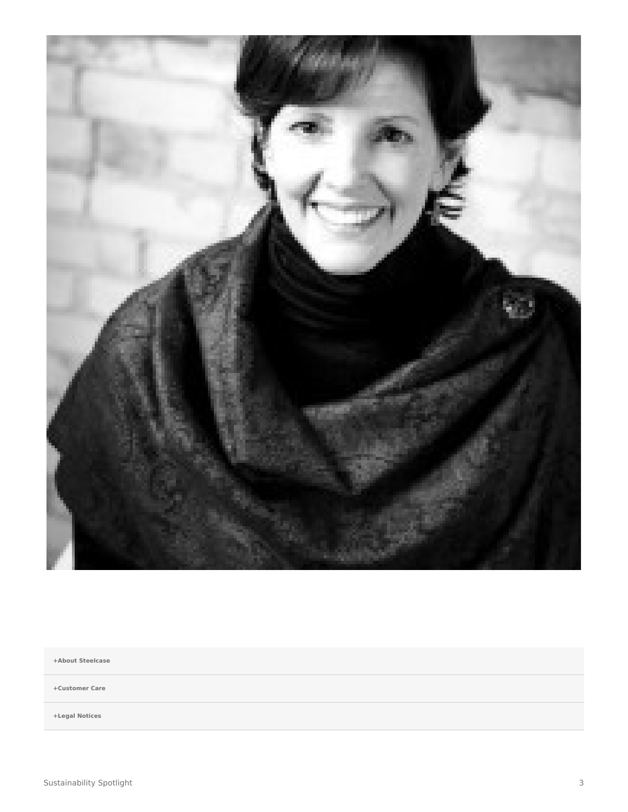

**[+About Steelcase](https://www.steelcase.com/asia-en/about/steelcase/our-company/)**

**+Customer Care**

**+Legal Notices**